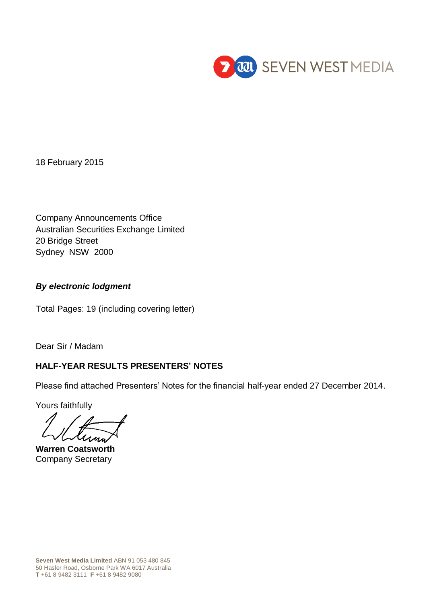

18 February 2015

Company Announcements Office Australian Securities Exchange Limited 20 Bridge Street Sydney NSW 2000

## *By electronic lodgment*

Total Pages: 19 (including covering letter)

Dear Sir / Madam

## **HALF-YEAR RESULTS PRESENTERS' NOTES**

Please find attached Presenters' Notes for the financial half-year ended 27 December 2014.

Yours faithfully

**Warren Coatsworth** Company Secretary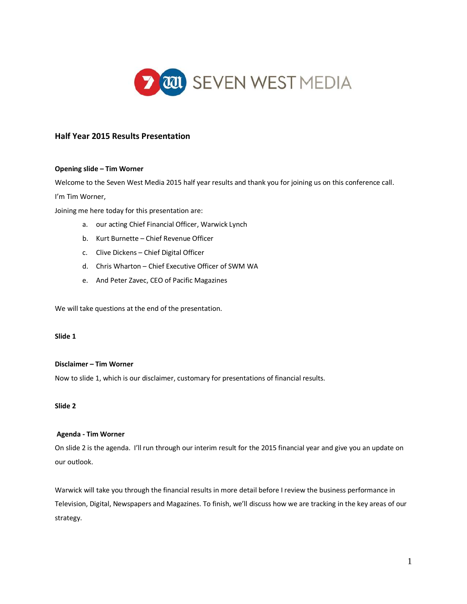

#### **Half Year 2015 Results Presentation**

#### **Opening slide – Tim Worner**

Welcome to the Seven West Media 2015 half year results and thank you for joining us on this conference call. I'm Tim Worner,

Joining me here today for this presentation are:

- a. our acting Chief Financial Officer, Warwick Lynch
- b. Kurt Burnette Chief Revenue Officer
- c. Clive Dickens Chief Digital Officer
- d. Chris Wharton Chief Executive Officer of SWM WA
- e. And Peter Zavec, CEO of Pacific Magazines

We will take questions at the end of the presentation.

#### **Slide 1**

#### **Disclaimer – Tim Worner**

Now to slide 1, which is our disclaimer, customary for presentations of financial results.

#### **Slide 2**

#### **Agenda - Tim Worner**

On slide 2 is the agenda. I'll run through our interim result for the 2015 financial year and give you an update on our outlook.

Warwick will take you through the financial results in more detail before I review the business performance in Television, Digital, Newspapers and Magazines. To finish, we'll discuss how we are tracking in the key areas of our strategy.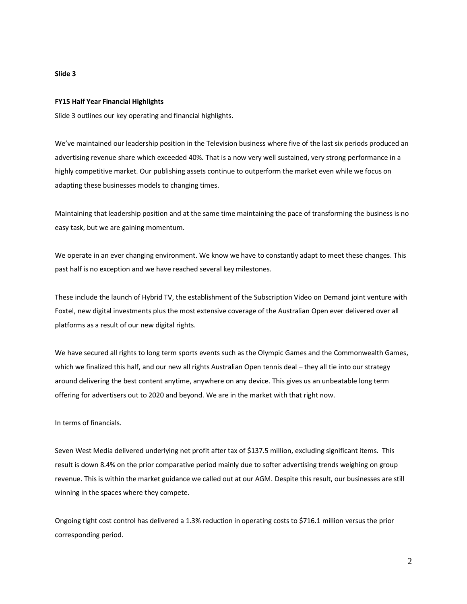#### **FY15 Half Year Financial Highlights**

Slide 3 outlines our key operating and financial highlights.

We've maintained our leadership position in the Television business where five of the last six periods produced an advertising revenue share which exceeded 40%. That is a now very well sustained, very strong performance in a highly competitive market. Our publishing assets continue to outperform the market even while we focus on adapting these businesses models to changing times.

Maintaining that leadership position and at the same time maintaining the pace of transforming the business is no easy task, but we are gaining momentum.

We operate in an ever changing environment. We know we have to constantly adapt to meet these changes. This past half is no exception and we have reached several key milestones.

These include the launch of Hybrid TV, the establishment of the Subscription Video on Demand joint venture with Foxtel, new digital investments plus the most extensive coverage of the Australian Open ever delivered over all platforms as a result of our new digital rights.

We have secured all rights to long term sports events such as the Olympic Games and the Commonwealth Games, which we finalized this half, and our new all rights Australian Open tennis deal – they all tie into our strategy around delivering the best content anytime, anywhere on any device. This gives us an unbeatable long term offering for advertisers out to 2020 and beyond. We are in the market with that right now.

In terms of financials.

Seven West Media delivered underlying net profit after tax of \$137.5 million, excluding significant items. This result is down 8.4% on the prior comparative period mainly due to softer advertising trends weighing on group revenue. This is within the market guidance we called out at our AGM. Despite this result, our businesses are still winning in the spaces where they compete.

Ongoing tight cost control has delivered a 1.3% reduction in operating costs to \$716.1 million versus the prior corresponding period.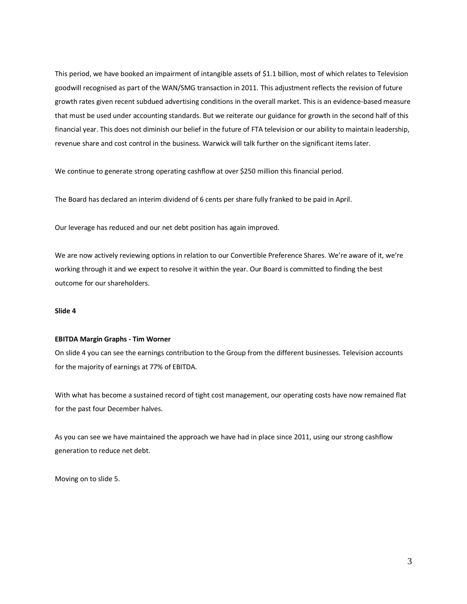This period, we have booked an impairment of intangible assets of \$1.1 billion, most of which relates to Television goodwill recognised as part of the WAN/SMG transaction in 2011. This adjustment reflects the revision of future growth rates given recent subdued advertising conditions in the overall market. This is an evidence-based measure that must be used under accounting standards. But we reiterate our guidance for growth in the second half of this financial year. This does not diminish our belief in the future of FTA television or our ability to maintain leadership, revenue share and cost control in the business. Warwick will talk further on the significant items later.

We continue to generate strong operating cashflow at over \$250 million this financial period.

The Board has declared an interim dividend of 6 cents per share fully franked to be paid in April.

Our leverage has reduced and our net debt position has again improved.

We are now actively reviewing options in relation to our Convertible Preference Shares. We're aware of it, we're working through it and we expect to resolve it within the year. Our Board is committed to finding the best outcome for our shareholders.

#### **Slide 4**

#### **EBITDA Margin Graphs - Tim Worner**

On slide 4 you can see the earnings contribution to the Group from the different businesses. Television accounts for the majority of earnings at 77% of EBITDA.

With what has become a sustained record of tight cost management, our operating costs have now remained flat for the past four December halves.

As you can see we have maintained the approach we have had in place since 2011, using our strong cashflow generation to reduce net debt.

Moving on to slide 5.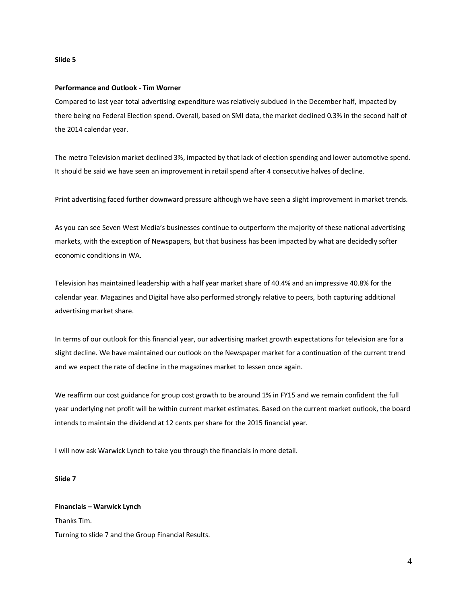#### **Performance and Outlook - Tim Worner**

Compared to last year total advertising expenditure was relatively subdued in the December half, impacted by there being no Federal Election spend. Overall, based on SMI data, the market declined 0.3% in the second half of the 2014 calendar year.

The metro Television market declined 3%, impacted by that lack of election spending and lower automotive spend. It should be said we have seen an improvement in retail spend after 4 consecutive halves of decline.

Print advertising faced further downward pressure although we have seen a slight improvement in market trends.

As you can see Seven West Media's businesses continue to outperform the majority of these national advertising markets, with the exception of Newspapers, but that business has been impacted by what are decidedly softer economic conditions in WA.

Television has maintained leadership with a half year market share of 40.4% and an impressive 40.8% for the calendar year. Magazines and Digital have also performed strongly relative to peers, both capturing additional advertising market share.

In terms of our outlook for this financial year, our advertising market growth expectations for television are for a slight decline. We have maintained our outlook on the Newspaper market for a continuation of the current trend and we expect the rate of decline in the magazines market to lessen once again.

We reaffirm our cost guidance for group cost growth to be around 1% in FY15 and we remain confident the full year underlying net profit will be within current market estimates. Based on the current market outlook, the board intends to maintain the dividend at 12 cents per share for the 2015 financial year.

I will now ask Warwick Lynch to take you through the financials in more detail.

#### **Slide 7**

# **Financials – Warwick Lynch**

Thanks Tim.

Turning to slide 7 and the Group Financial Results.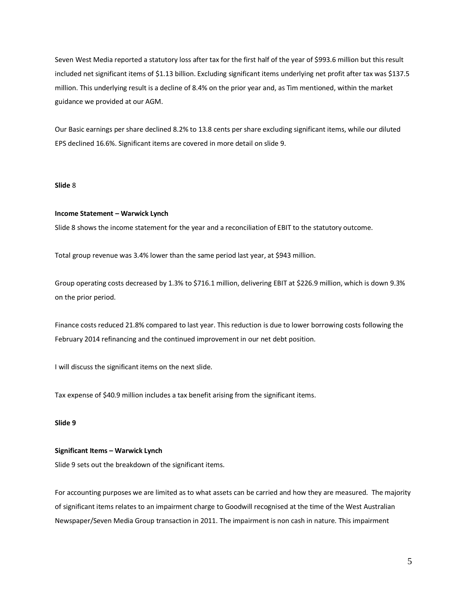Seven West Media reported a statutory loss after tax for the first half of the year of \$993.6 million but this result included net significant items of \$1.13 billion. Excluding significant items underlying net profit after tax was \$137.5 million. This underlying result is a decline of 8.4% on the prior year and, as Tim mentioned, within the market guidance we provided at our AGM.

Our Basic earnings per share declined 8.2% to 13.8 cents per share excluding significant items, while our diluted EPS declined 16.6%. Significant items are covered in more detail on slide 9.

#### **Slide** 8

#### **Income Statement – Warwick Lynch**

Slide 8 shows the income statement for the year and a reconciliation of EBIT to the statutory outcome.

Total group revenue was 3.4% lower than the same period last year, at \$943 million.

Group operating costs decreased by 1.3% to \$716.1 million, delivering EBIT at \$226.9 million, which is down 9.3% on the prior period.

Finance costs reduced 21.8% compared to last year. This reduction is due to lower borrowing costs following the February 2014 refinancing and the continued improvement in our net debt position.

I will discuss the significant items on the next slide.

Tax expense of \$40.9 million includes a tax benefit arising from the significant items.

#### **Slide 9**

#### **Significant Items – Warwick Lynch**

Slide 9 sets out the breakdown of the significant items.

For accounting purposes we are limited as to what assets can be carried and how they are measured. The majority of significant items relates to an impairment charge to Goodwill recognised at the time of the West Australian Newspaper/Seven Media Group transaction in 2011. The impairment is non cash in nature. This impairment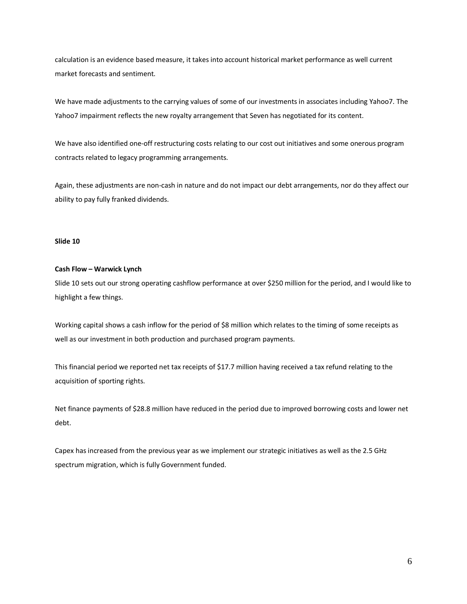calculation is an evidence based measure, it takes into account historical market performance as well current market forecasts and sentiment.

We have made adjustments to the carrying values of some of our investments in associates including Yahoo7. The Yahoo7 impairment reflects the new royalty arrangement that Seven has negotiated for its content.

We have also identified one-off restructuring costs relating to our cost out initiatives and some onerous program contracts related to legacy programming arrangements.

Again, these adjustments are non-cash in nature and do not impact our debt arrangements, nor do they affect our ability to pay fully franked dividends.

#### **Slide 10**

#### **Cash Flow – Warwick Lynch**

Slide 10 sets out our strong operating cashflow performance at over \$250 million for the period, and I would like to highlight a few things.

Working capital shows a cash inflow for the period of \$8 million which relates to the timing of some receipts as well as our investment in both production and purchased program payments.

This financial period we reported net tax receipts of \$17.7 million having received a tax refund relating to the acquisition of sporting rights.

Net finance payments of \$28.8 million have reduced in the period due to improved borrowing costs and lower net debt.

Capex has increased from the previous year as we implement our strategic initiatives as well as the 2.5 GHz spectrum migration, which is fully Government funded.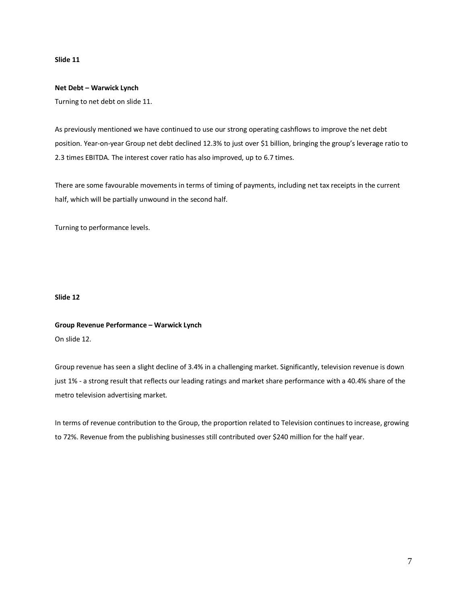#### **Net Debt – Warwick Lynch**

Turning to net debt on slide 11.

As previously mentioned we have continued to use our strong operating cashflows to improve the net debt position. Year-on-year Group net debt declined 12.3% to just over \$1 billion, bringing the group's leverage ratio to 2.3 times EBITDA. The interest cover ratio has also improved, up to 6.7 times.

There are some favourable movements in terms of timing of payments, including net tax receipts in the current half, which will be partially unwound in the second half.

Turning to performance levels.

#### **Slide 12**

## **Group Revenue Performance – Warwick Lynch** On slide 12.

Group revenue has seen a slight decline of 3.4% in a challenging market. Significantly, television revenue is down just 1% - a strong result that reflects our leading ratings and market share performance with a 40.4% share of the metro television advertising market.

In terms of revenue contribution to the Group, the proportion related to Television continues to increase, growing to 72%. Revenue from the publishing businesses still contributed over \$240 million for the half year.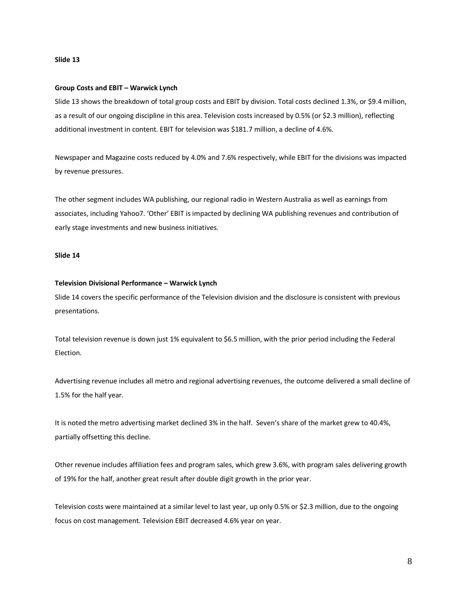#### **Group Costs and EBIT – Warwick Lynch**

Slide 13 shows the breakdown of total group costs and EBIT by division. Total costs declined 1.3%, or \$9.4 million, as a result of our ongoing discipline in this area. Television costs increased by 0.5% (or \$2.3 million), reflecting additional investment in content. EBIT for television was \$181.7 million, a decline of 4.6%.

Newspaper and Magazine costs reduced by 4.0% and 7.6% respectively, while EBIT for the divisions was impacted by revenue pressures.

The other segment includes WA publishing, our regional radio in Western Australia as well as earnings from associates, including Yahoo7. 'Other' EBIT is impacted by declining WA publishing revenues and contribution of early stage investments and new business initiatives.

#### **Slide 14**

#### **Television Divisional Performance – Warwick Lynch**

Slide 14 covers the specific performance of the Television division and the disclosure is consistent with previous presentations.

Total television revenue is down just 1% equivalent to \$6.5 million, with the prior period including the Federal Election.

Advertising revenue includes all metro and regional advertising revenues, the outcome delivered a small decline of 1.5% for the half year.

It is noted the metro advertising market declined 3% in the half. Seven's share of the market grew to 40.4%, partially offsetting this decline.

Other revenue includes affiliation fees and program sales, which grew 3.6%, with program sales delivering growth of 19% for the half, another great result after double digit growth in the prior year.

Television costs were maintained at a similar level to last year, up only 0.5% or \$2.3 million, due to the ongoing focus on cost management. Television EBIT decreased 4.6% year on year.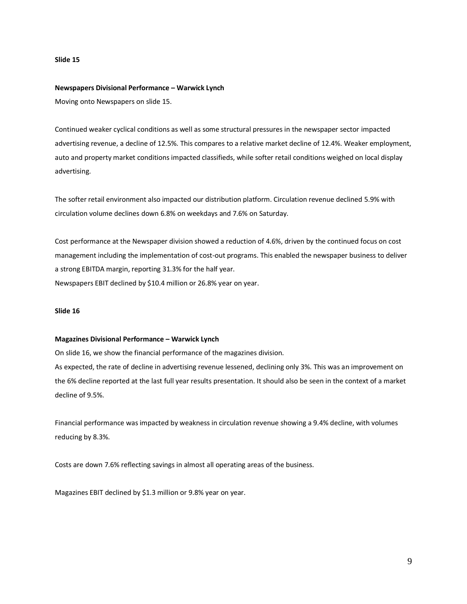#### **Newspapers Divisional Performance – Warwick Lynch**

Moving onto Newspapers on slide 15.

Continued weaker cyclical conditions as well as some structural pressures in the newspaper sector impacted advertising revenue, a decline of 12.5%. This compares to a relative market decline of 12.4%. Weaker employment, auto and property market conditions impacted classifieds, while softer retail conditions weighed on local display advertising.

The softer retail environment also impacted our distribution platform. Circulation revenue declined 5.9% with circulation volume declines down 6.8% on weekdays and 7.6% on Saturday.

Cost performance at the Newspaper division showed a reduction of 4.6%, driven by the continued focus on cost management including the implementation of cost-out programs. This enabled the newspaper business to deliver a strong EBITDA margin, reporting 31.3% for the half year. Newspapers EBIT declined by \$10.4 million or 26.8% year on year.

#### **Slide 16**

#### **Magazines Divisional Performance – Warwick Lynch**

On slide 16, we show the financial performance of the magazines division.

As expected, the rate of decline in advertising revenue lessened, declining only 3%. This was an improvement on the 6% decline reported at the last full year results presentation. It should also be seen in the context of a market decline of 9.5%.

Financial performance was impacted by weakness in circulation revenue showing a 9.4% decline, with volumes reducing by 8.3%.

Costs are down 7.6% reflecting savings in almost all operating areas of the business.

Magazines EBIT declined by \$1.3 million or 9.8% year on year.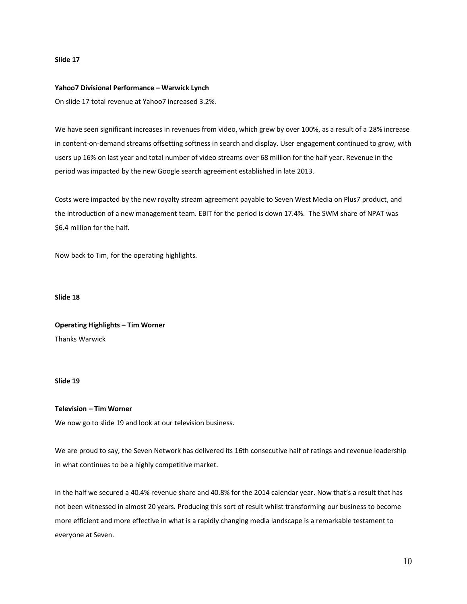#### **Yahoo7 Divisional Performance – Warwick Lynch**

On slide 17 total revenue at Yahoo7 increased 3.2%.

We have seen significant increases in revenues from video, which grew by over 100%, as a result of a 28% increase in content-on-demand streams offsetting softness in search and display. User engagement continued to grow, with users up 16% on last year and total number of video streams over 68 million for the half year. Revenue in the period was impacted by the new Google search agreement established in late 2013.

Costs were impacted by the new royalty stream agreement payable to Seven West Media on Plus7 product, and the introduction of a new management team. EBIT for the period is down 17.4%. The SWM share of NPAT was \$6.4 million for the half.

Now back to Tim, for the operating highlights.

**Slide 18**

**Operating Highlights – Tim Worner** Thanks Warwick

#### **Slide 19**

**Television – Tim Worner**

We now go to slide 19 and look at our television business.

We are proud to say, the Seven Network has delivered its 16th consecutive half of ratings and revenue leadership in what continues to be a highly competitive market.

In the half we secured a 40.4% revenue share and 40.8% for the 2014 calendar year. Now that's a result that has not been witnessed in almost 20 years. Producing this sort of result whilst transforming our business to become more efficient and more effective in what is a rapidly changing media landscape is a remarkable testament to everyone at Seven.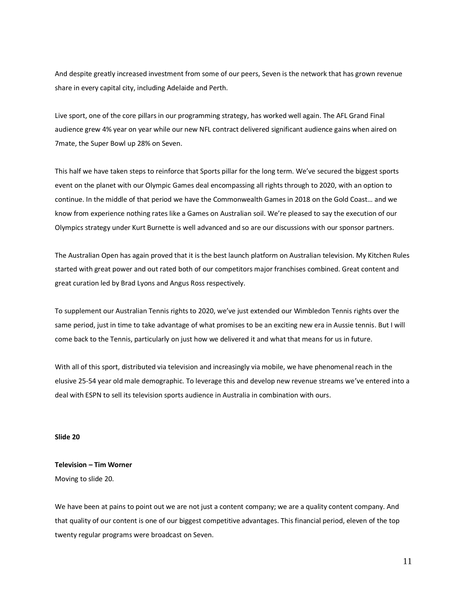And despite greatly increased investment from some of our peers, Seven is the network that has grown revenue share in every capital city, including Adelaide and Perth.

Live sport, one of the core pillars in our programming strategy, has worked well again. The AFL Grand Final audience grew 4% year on year while our new NFL contract delivered significant audience gains when aired on 7mate, the Super Bowl up 28% on Seven.

This half we have taken steps to reinforce that Sports pillar for the long term. We've secured the biggest sports event on the planet with our Olympic Games deal encompassing all rights through to 2020, with an option to continue. In the middle of that period we have the Commonwealth Games in 2018 on the Gold Coast… and we know from experience nothing rates like a Games on Australian soil. We're pleased to say the execution of our Olympics strategy under Kurt Burnette is well advanced and so are our discussions with our sponsor partners.

The Australian Open has again proved that it is the best launch platform on Australian television. My Kitchen Rules started with great power and out rated both of our competitors major franchises combined. Great content and great curation led by Brad Lyons and Angus Ross respectively.

To supplement our Australian Tennis rights to 2020, we've just extended our Wimbledon Tennis rights over the same period, just in time to take advantage of what promises to be an exciting new era in Aussie tennis. But I will come back to the Tennis, particularly on just how we delivered it and what that means for us in future.

With all of this sport, distributed via television and increasingly via mobile, we have phenomenal reach in the elusive 25-54 year old male demographic. To leverage this and develop new revenue streams we've entered into a deal with ESPN to sell its television sports audience in Australia in combination with ours.

#### **Slide 20**

### **Television – Tim Worner**

Moving to slide 20.

We have been at pains to point out we are not just a content company; we are a quality content company. And that quality of our content is one of our biggest competitive advantages. This financial period, eleven of the top twenty regular programs were broadcast on Seven.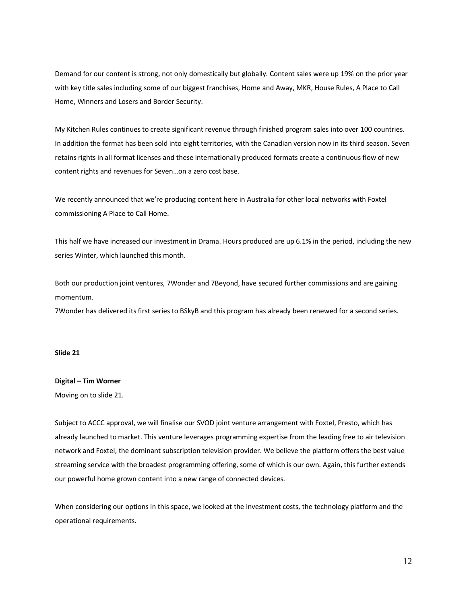Demand for our content is strong, not only domestically but globally. Content sales were up 19% on the prior year with key title sales including some of our biggest franchises, Home and Away, MKR, House Rules, A Place to Call Home, Winners and Losers and Border Security.

My Kitchen Rules continues to create significant revenue through finished program sales into over 100 countries. In addition the format has been sold into eight territories, with the Canadian version now in its third season. Seven retains rights in all format licenses and these internationally produced formats create a continuous flow of new content rights and revenues for Seven…on a zero cost base.

We recently announced that we're producing content here in Australia for other local networks with Foxtel commissioning A Place to Call Home.

This half we have increased our investment in Drama. Hours produced are up 6.1% in the period, including the new series Winter, which launched this month.

Both our production joint ventures, 7Wonder and 7Beyond, have secured further commissions and are gaining momentum.

7Wonder has delivered its first series to BSkyB and this program has already been renewed for a second series.

#### **Slide 21**

## **Digital – Tim Worner**

Moving on to slide 21.

Subject to ACCC approval, we will finalise our SVOD joint venture arrangement with Foxtel, Presto, which has already launched to market. This venture leverages programming expertise from the leading free to air television network and Foxtel, the dominant subscription television provider. We believe the platform offers the best value streaming service with the broadest programming offering, some of which is our own. Again, this further extends our powerful home grown content into a new range of connected devices.

When considering our options in this space, we looked at the investment costs, the technology platform and the operational requirements.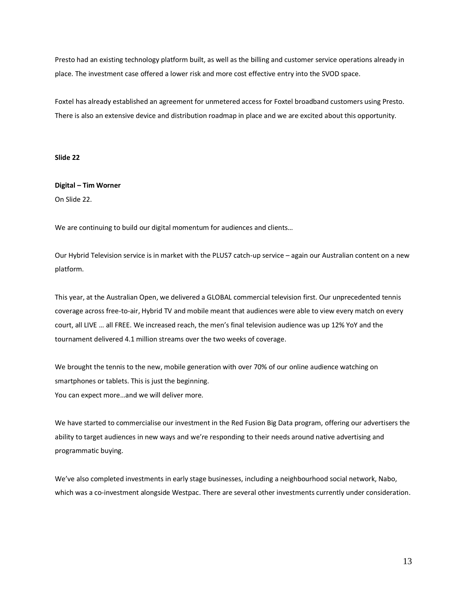Presto had an existing technology platform built, as well as the billing and customer service operations already in place. The investment case offered a lower risk and more cost effective entry into the SVOD space.

Foxtel has already established an agreement for unmetered access for Foxtel broadband customers using Presto. There is also an extensive device and distribution roadmap in place and we are excited about this opportunity.

**Slide 22**

# **Digital – Tim Worner**

On Slide 22.

We are continuing to build our digital momentum for audiences and clients...

Our Hybrid Television service is in market with the PLUS7 catch-up service – again our Australian content on a new platform.

This year, at the Australian Open, we delivered a GLOBAL commercial television first. Our unprecedented tennis coverage across free-to-air, Hybrid TV and mobile meant that audiences were able to view every match on every court, all LIVE … all FREE. We increased reach, the men's final television audience was up 12% YoY and the tournament delivered 4.1 million streams over the two weeks of coverage.

We brought the tennis to the new, mobile generation with over 70% of our online audience watching on smartphones or tablets. This is just the beginning. You can expect more…and we will deliver more.

We have started to commercialise our investment in the Red Fusion Big Data program, offering our advertisers the ability to target audiences in new ways and we're responding to their needs around native advertising and programmatic buying.

We've also completed investments in early stage businesses, including a neighbourhood social network, Nabo, which was a co-investment alongside Westpac. There are several other investments currently under consideration.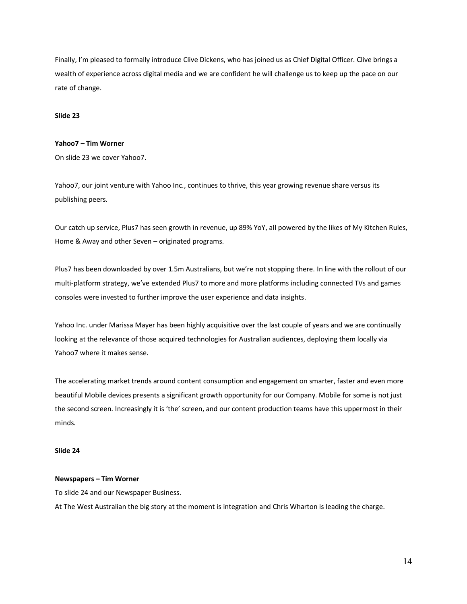Finally, I'm pleased to formally introduce Clive Dickens, who has joined us as Chief Digital Officer. Clive brings a wealth of experience across digital media and we are confident he will challenge us to keep up the pace on our rate of change.

#### **Slide 23**

#### **Yahoo7 – Tim Worner**

On slide 23 we cover Yahoo7.

Yahoo7, our joint venture with Yahoo Inc., continues to thrive, this year growing revenue share versus its publishing peers.

Our catch up service, Plus7 has seen growth in revenue, up 89% YoY, all powered by the likes of My Kitchen Rules, Home & Away and other Seven – originated programs.

Plus7 has been downloaded by over 1.5m Australians, but we're not stopping there. In line with the rollout of our multi-platform strategy, we've extended Plus7 to more and more platforms including connected TVs and games consoles were invested to further improve the user experience and data insights.

Yahoo Inc. under Marissa Mayer has been highly acquisitive over the last couple of years and we are continually looking at the relevance of those acquired technologies for Australian audiences, deploying them locally via Yahoo7 where it makes sense.

The accelerating market trends around content consumption and engagement on smarter, faster and even more beautiful Mobile devices presents a significant growth opportunity for our Company. Mobile for some is not just the second screen. Increasingly it is 'the' screen, and our content production teams have this uppermost in their minds.

#### **Slide 24**

#### **Newspapers – Tim Worner**

To slide 24 and our Newspaper Business.

At The West Australian the big story at the moment is integration and Chris Wharton is leading the charge.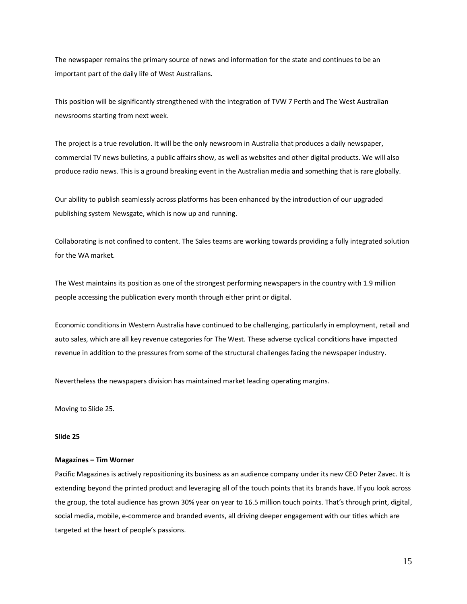The newspaper remains the primary source of news and information for the state and continues to be an important part of the daily life of West Australians.

This position will be significantly strengthened with the integration of TVW 7 Perth and The West Australian newsrooms starting from next week.

The project is a true revolution. It will be the only newsroom in Australia that produces a daily newspaper, commercial TV news bulletins, a public affairs show, as well as websites and other digital products. We will also produce radio news. This is a ground breaking event in the Australian media and something that is rare globally.

Our ability to publish seamlessly across platforms has been enhanced by the introduction of our upgraded publishing system Newsgate, which is now up and running.

Collaborating is not confined to content. The Sales teams are working towards providing a fully integrated solution for the WA market.

The West maintains its position as one of the strongest performing newspapers in the country with 1.9 million people accessing the publication every month through either print or digital.

Economic conditions in Western Australia have continued to be challenging, particularly in employment, retail and auto sales, which are all key revenue categories for The West. These adverse cyclical conditions have impacted revenue in addition to the pressures from some of the structural challenges facing the newspaper industry.

Nevertheless the newspapers division has maintained market leading operating margins.

Moving to Slide 25.

#### **Slide 25**

#### **Magazines – Tim Worner**

Pacific Magazines is actively repositioning its business as an audience company under its new CEO Peter Zavec. It is extending beyond the printed product and leveraging all of the touch points that its brands have. If you look across the group, the total audience has grown 30% year on year to 16.5 million touch points. That's through print, digital, social media, mobile, e-commerce and branded events, all driving deeper engagement with our titles which are targeted at the heart of people's passions.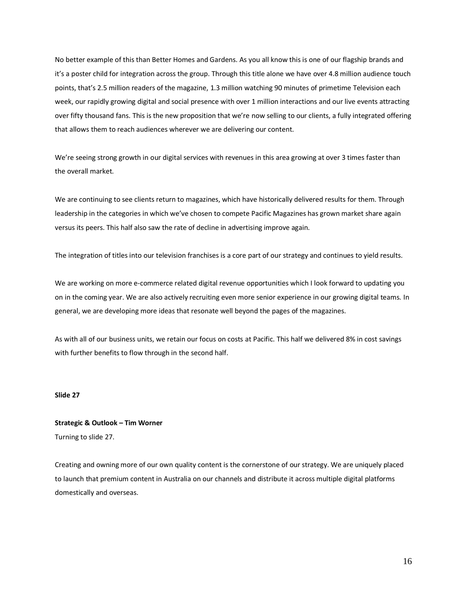No better example of this than Better Homes and Gardens. As you all know this is one of our flagship brands and it's a poster child for integration across the group. Through this title alone we have over 4.8 million audience touch points, that's 2.5 million readers of the magazine, 1.3 million watching 90 minutes of primetime Television each week, our rapidly growing digital and social presence with over 1 million interactions and our live events attracting over fifty thousand fans. This is the new proposition that we're now selling to our clients, a fully integrated offering that allows them to reach audiences wherever we are delivering our content.

We're seeing strong growth in our digital services with revenues in this area growing at over 3 times faster than the overall market.

We are continuing to see clients return to magazines, which have historically delivered results for them. Through leadership in the categories in which we've chosen to compete Pacific Magazines has grown market share again versus its peers. This half also saw the rate of decline in advertising improve again.

The integration of titles into our television franchises is a core part of our strategy and continues to yield results.

We are working on more e-commerce related digital revenue opportunities which I look forward to updating you on in the coming year. We are also actively recruiting even more senior experience in our growing digital teams. In general, we are developing more ideas that resonate well beyond the pages of the magazines.

As with all of our business units, we retain our focus on costs at Pacific. This half we delivered 8% in cost savings with further benefits to flow through in the second half.

#### **Slide 27**

## **Strategic & Outlook – Tim Worner** Turning to slide 27.

Creating and owning more of our own quality content is the cornerstone of our strategy. We are uniquely placed to launch that premium content in Australia on our channels and distribute it across multiple digital platforms domestically and overseas.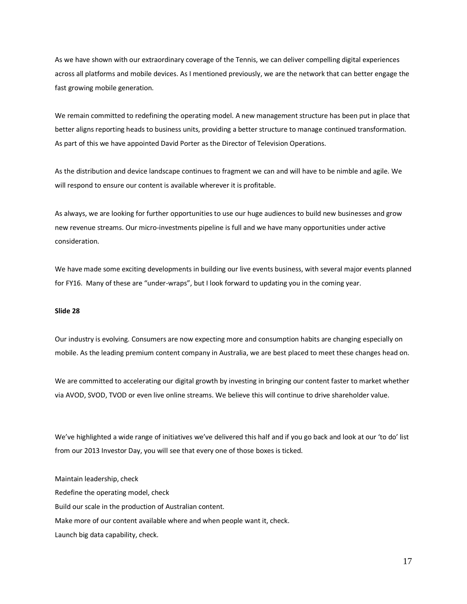As we have shown with our extraordinary coverage of the Tennis, we can deliver compelling digital experiences across all platforms and mobile devices. As I mentioned previously, we are the network that can better engage the fast growing mobile generation.

We remain committed to redefining the operating model. A new management structure has been put in place that better aligns reporting heads to business units, providing a better structure to manage continued transformation. As part of this we have appointed David Porter as the Director of Television Operations.

As the distribution and device landscape continues to fragment we can and will have to be nimble and agile. We will respond to ensure our content is available wherever it is profitable.

As always, we are looking for further opportunities to use our huge audiences to build new businesses and grow new revenue streams. Our micro-investments pipeline is full and we have many opportunities under active consideration.

We have made some exciting developments in building our live events business, with several major events planned for FY16. Many of these are "under-wraps", but I look forward to updating you in the coming year.

#### **Slide 28**

Our industry is evolving. Consumers are now expecting more and consumption habits are changing especially on mobile. As the leading premium content company in Australia, we are best placed to meet these changes head on.

We are committed to accelerating our digital growth by investing in bringing our content faster to market whether via AVOD, SVOD, TVOD or even live online streams. We believe this will continue to drive shareholder value.

We've highlighted a wide range of initiatives we've delivered this half and if you go back and look at our 'to do' list from our 2013 Investor Day, you will see that every one of those boxes is ticked.

Maintain leadership, check Redefine the operating model, check Build our scale in the production of Australian content. Make more of our content available where and when people want it, check. Launch big data capability, check.